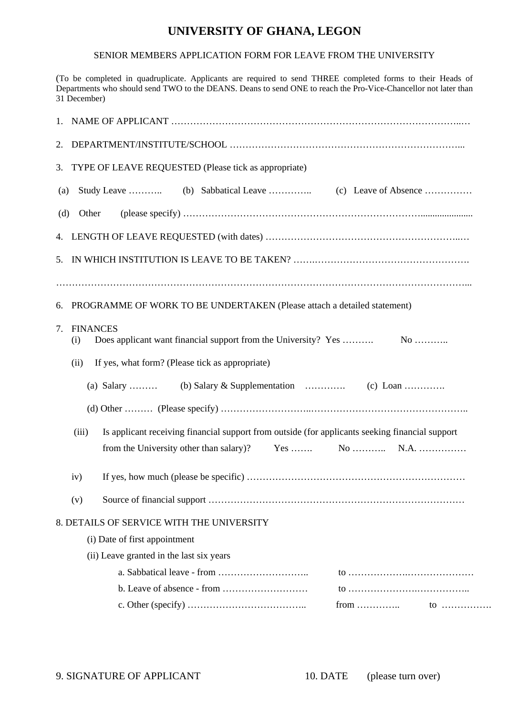## **UNIVERSITY OF GHANA, LEGON**

## SENIOR MEMBERS APPLICATION FORM FOR LEAVE FROM THE UNIVERSITY

(To be completed in quadruplicate. Applicants are required to send THREE completed forms to their Heads of Departments who should send TWO to the DEANS. Deans to send ONE to reach the Pro-Vice-Chancellor not later than 31 December)

| 1.                                                      |                                                                                                          |  |  |  |
|---------------------------------------------------------|----------------------------------------------------------------------------------------------------------|--|--|--|
| 2.                                                      |                                                                                                          |  |  |  |
| 3.                                                      | TYPE OF LEAVE REQUESTED (Please tick as appropriate)                                                     |  |  |  |
| (a)                                                     |                                                                                                          |  |  |  |
| (d)                                                     | Other                                                                                                    |  |  |  |
|                                                         |                                                                                                          |  |  |  |
| 5.                                                      |                                                                                                          |  |  |  |
| 6.                                                      | PROGRAMME OF WORK TO BE UNDERTAKEN (Please attach a detailed statement)                                  |  |  |  |
| 7.                                                      | <b>FINANCES</b><br>(i)                                                                                   |  |  |  |
| If yes, what form? (Please tick as appropriate)<br>(ii) |                                                                                                          |  |  |  |
|                                                         | (a) Salary                                                                                               |  |  |  |
|                                                         |                                                                                                          |  |  |  |
|                                                         | Is applicant receiving financial support from outside (for applicants seeking financial support<br>(iii) |  |  |  |
|                                                         |                                                                                                          |  |  |  |
|                                                         | iv)                                                                                                      |  |  |  |
|                                                         | (v)                                                                                                      |  |  |  |
|                                                         | 8. DETAILS OF SERVICE WITH THE UNIVERSITY                                                                |  |  |  |
|                                                         | (i) Date of first appointment                                                                            |  |  |  |
|                                                         | (ii) Leave granted in the last six years                                                                 |  |  |  |
|                                                         |                                                                                                          |  |  |  |
|                                                         |                                                                                                          |  |  |  |
|                                                         | from $\dots\dots\dots\dots$<br>$10$                                                                      |  |  |  |